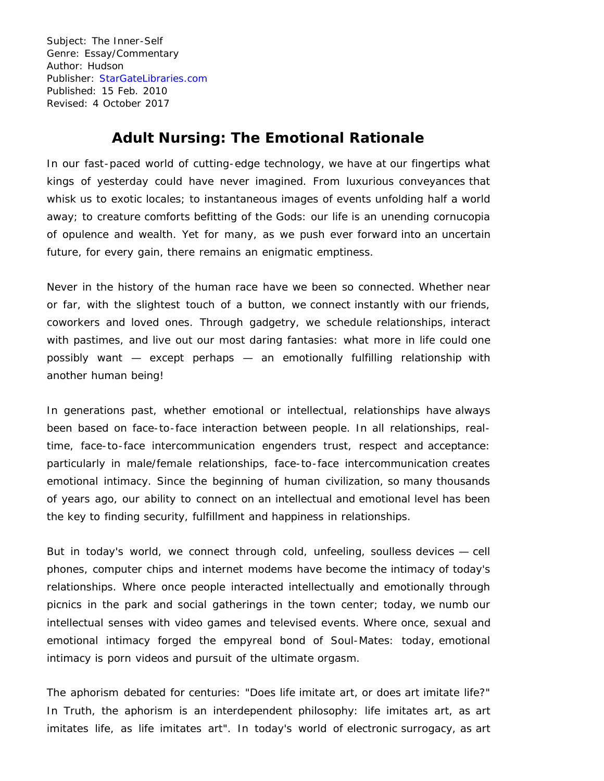Subject: The Inner-Self Genre: Essay/Commentary Author: Hudson Publisher: [StarGateLibraries.com](http://stargatelibraries.com/) Published: 15 Feb. 2010 Revised: 4 October 2017

# **Adult Nursing: The Emotional Rationale**

In our fast-paced world of cutting-edge technology, we have at our fingertips what kings of yesterday could have never imagined. From luxurious conveyances that whisk us to exotic locales; to instantaneous images of events unfolding half a world away; to creature comforts befitting of the Gods: our life is an unending cornucopia of opulence and wealth. Yet for many, as we push ever forward into an uncertain future, for every gain, there remains an enigmatic emptiness.

Never in the history of the human race have we been so connected. Whether near or far, with the slightest touch of a button, we connect instantly with our friends, coworkers and loved ones. Through gadgetry, we schedule relationships, interact with pastimes, and live out our most daring fantasies: what more in life could one possibly want — except perhaps — an emotionally fulfilling relationship with another human being!

In generations past, whether emotional or intellectual, relationships have always been based on face-to-face interaction between people. In all relationships, realtime, face-to-face intercommunication engenders trust, respect and acceptance: particularly in male/female relationships, face-to-face intercommunication creates emotional intimacy. Since the beginning of human civilization, so many thousands of years ago, our ability to connect on an intellectual and emotional level has been the key to finding security, fulfillment and happiness in relationships.

But in today's world, we connect through cold, unfeeling, soulless devices — cell phones, computer chips and internet modems have become the intimacy of today's relationships. Where once people interacted intellectually and emotionally through picnics in the park and social gatherings in the town center; today, we numb our intellectual senses with video games and televised events. Where once, sexual and emotional intimacy forged the empyreal bond of Soul-Mates: today, emotional intimacy is porn videos and pursuit of the ultimate orgasm.

The aphorism debated for centuries: "Does life imitate art, or does art imitate life?" In Truth, the aphorism is an interdependent philosophy: life imitates art, as art imitates life, as life imitates art". In today's world of electronic surrogacy, as art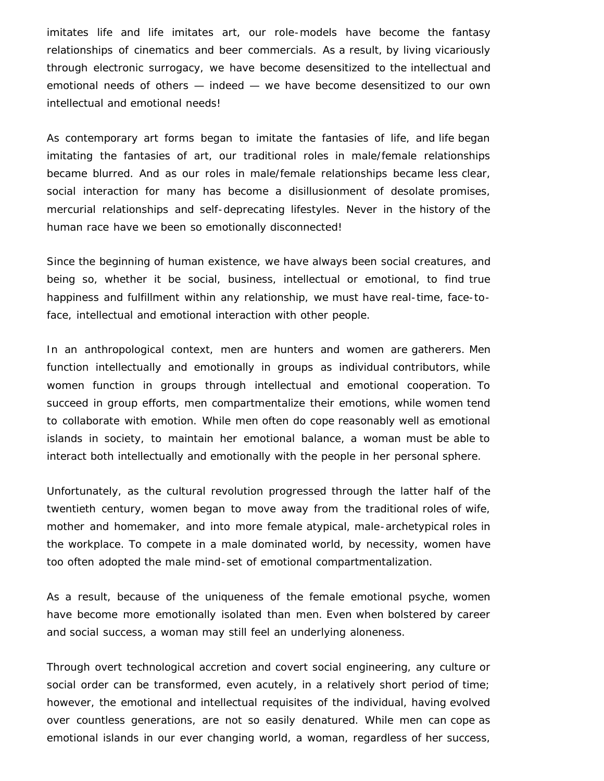imitates life and life imitates art, our role-models have become the fantasy relationships of cinematics and beer commercials. As a result, by living vicariously through electronic surrogacy, we have become desensitized to the intellectual and emotional needs of others — indeed — we have become desensitized to our own intellectual and emotional needs!

As contemporary art forms began to imitate the fantasies of life, and life began imitating the fantasies of art, our traditional roles in male/female relationships became blurred. And as our roles in male/female relationships became less clear, social interaction for many has become a disillusionment of desolate promises, mercurial relationships and self-deprecating lifestyles. Never in the history of the human race have we been so emotionally disconnected!

Since the beginning of human existence, we have always been social creatures, and being so, whether it be social, business, intellectual or emotional, to find true happiness and fulfillment within any relationship, we must have real-time, face-toface, intellectual and emotional interaction with other people.

In an anthropological context, men are hunters and women are gatherers. Men function intellectually and emotionally in groups as individual contributors, while women function in groups through intellectual and emotional cooperation. To succeed in group efforts, men compartmentalize their emotions, while women tend to collaborate with emotion. While men often do cope reasonably well as emotional islands in society, to maintain her emotional balance, a woman must be able to interact both intellectually and emotionally with the people in her personal sphere.

Unfortunately, as the cultural revolution progressed through the latter half of the twentieth century, women began to move away from the traditional roles of wife, mother and homemaker, and into more female atypical, male-archetypical roles in the workplace. To compete in a male dominated world, by necessity, women have too often adopted the male mind-set of emotional compartmentalization.

As a result, because of the uniqueness of the female emotional psyche, women have become more emotionally isolated than men. Even when bolstered by career and social success, a woman may still feel an underlying aloneness.

Through overt technological accretion and covert social engineering, any culture or social order can be transformed, even acutely, in a relatively short period of time; however, the emotional and intellectual requisites of the individual, having evolved over countless generations, are not so easily denatured. While men can cope as emotional islands in our ever changing world, a woman, regardless of her success,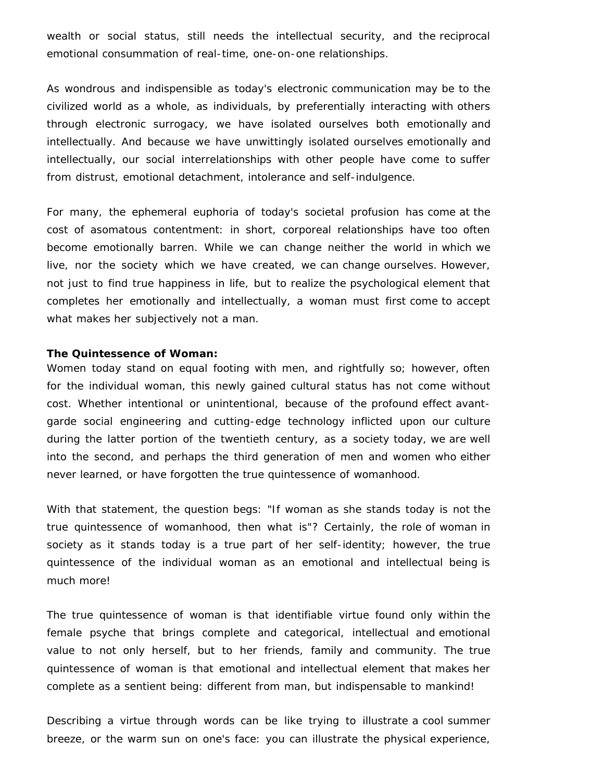wealth or social status, still needs the intellectual security, and the reciprocal emotional consummation of real-time, one-on-one relationships.

As wondrous and indispensible as today's electronic communication may be to the civilized world as a whole, as individuals, by preferentially interacting with others through electronic surrogacy, we have isolated ourselves both emotionally and intellectually. And because we have unwittingly isolated ourselves emotionally and intellectually, our social interrelationships with other people have come to suffer from distrust, emotional detachment, intolerance and self-indulgence.

For many, the ephemeral euphoria of today's societal profusion has come at the cost of asomatous contentment: in short, corporeal relationships have too often become emotionally barren. While we can change neither the world in which we live, nor the society which we have created, we can change ourselves. However, not just to find true happiness in life, but to realize the psychological element that completes her emotionally and intellectually, a woman must first come to accept what makes her subjectively not a man.

### **The Quintessence of Woman:**

Women today stand on equal footing with men, and rightfully so; however, often for the individual woman, this newly gained cultural status has not come without cost. Whether intentional or unintentional, because of the profound effect avantgarde social engineering and cutting-edge technology inflicted upon our culture during the latter portion of the twentieth century, as a society today, we are well into the second, and perhaps the third generation of men and women who either never learned, or have forgotten the true quintessence of womanhood.

With that statement, the question begs: "If woman as she stands today is not the true quintessence of womanhood, then what is"? Certainly, the role of woman in society as it stands today is a true part of her self-identity; however, the true quintessence of the individual woman as an emotional and intellectual being is much more!

The true quintessence of woman is that identifiable virtue found only within the female psyche that brings complete and categorical, intellectual and emotional value to not only herself, but to her friends, family and community. The true quintessence of woman is that emotional and intellectual element that makes her complete as a sentient being: different from man, but indispensable to mankind!

Describing a virtue through words can be like trying to illustrate a cool summer breeze, or the warm sun on one's face: you can illustrate the physical experience,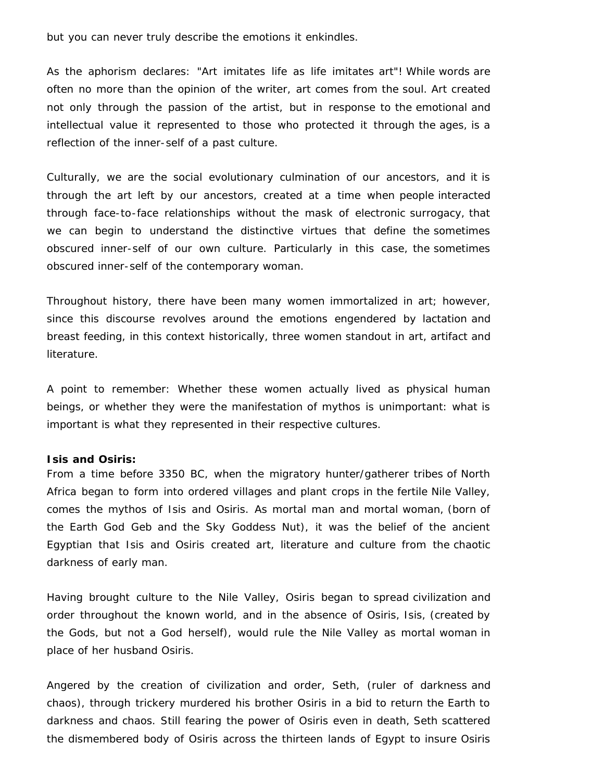but you can never truly describe the emotions it enkindles.

As the aphorism declares: "Art imitates life as life imitates art"! While words are often no more than the opinion of the writer, art comes from the soul. Art created not only through the passion of the artist, but in response to the emotional and intellectual value it represented to those who protected it through the ages, is a reflection of the inner-self of a past culture.

Culturally, we are the social evolutionary culmination of our ancestors, and it is through the art left by our ancestors, created at a time when people interacted through face-to-face relationships without the mask of electronic surrogacy, that we can begin to understand the distinctive virtues that define the sometimes obscured inner-self of our own culture. Particularly in this case, the sometimes obscured inner-self of the contemporary woman.

Throughout history, there have been many women immortalized in art; however, since this discourse revolves around the emotions engendered by lactation and breast feeding, in this context historically, three women standout in art, artifact and literature.

A point to remember: Whether these women actually lived as physical human beings, or whether they were the manifestation of mythos is unimportant: what is important is what they represented in their respective cultures.

### **Isis and Osiris:**

From a time before 3350 BC, when the migratory hunter/gatherer tribes of North Africa began to form into ordered villages and plant crops in the fertile Nile Valley, comes the mythos of Isis and Osiris. As mortal man and mortal woman, (born of the Earth God Geb and the Sky Goddess Nut), it was the belief of the ancient Egyptian that Isis and Osiris created art, literature and culture from the chaotic darkness of early man.

Having brought culture to the Nile Valley, Osiris began to spread civilization and order throughout the known world, and in the absence of Osiris, Isis, (created by the Gods, but not a God herself), would rule the Nile Valley as mortal woman in place of her husband Osiris.

Angered by the creation of civilization and order, Seth, (ruler of darkness and chaos), through trickery murdered his brother Osiris in a bid to return the Earth to darkness and chaos. Still fearing the power of Osiris even in death, Seth scattered the dismembered body of Osiris across the thirteen lands of Egypt to insure Osiris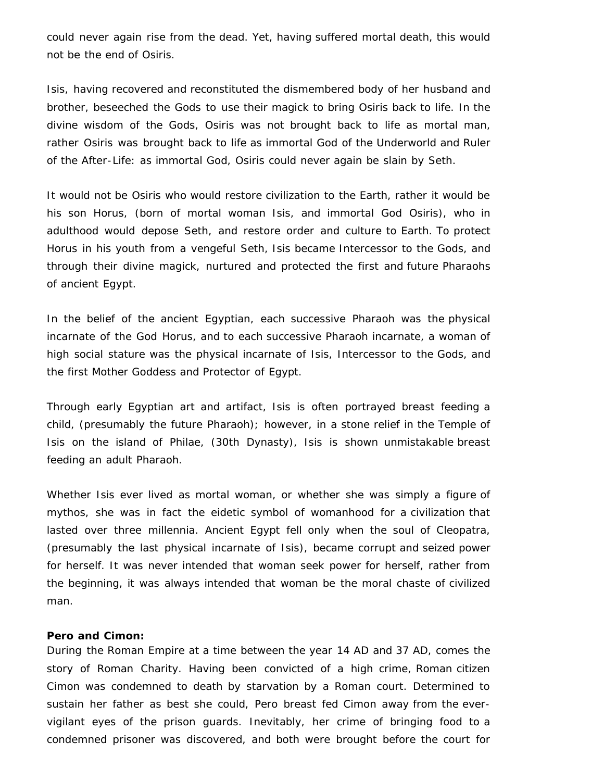could never again rise from the dead. Yet, having suffered mortal death, this would not be the end of Osiris.

Isis, having recovered and reconstituted the dismembered body of her husband and brother, beseeched the Gods to use their magick to bring Osiris back to life. In the divine wisdom of the Gods, Osiris was not brought back to life as mortal man, rather Osiris was brought back to life as immortal God of the Underworld and Ruler of the After-Life: as immortal God, Osiris could never again be slain by Seth.

It would not be Osiris who would restore civilization to the Earth, rather it would be his son Horus, (born of mortal woman Isis, and immortal God Osiris), who in adulthood would depose Seth, and restore order and culture to Earth. To protect Horus in his youth from a vengeful Seth, Isis became Intercessor to the Gods, and through their divine magick, nurtured and protected the first and future Pharaohs of ancient Egypt.

In the belief of the ancient Egyptian, each successive Pharaoh was the physical incarnate of the God Horus, and to each successive Pharaoh incarnate, a woman of high social stature was the physical incarnate of Isis, Intercessor to the Gods, and the first Mother Goddess and Protector of Egypt.

Through early Egyptian art and artifact, Isis is often portrayed breast feeding a child, (presumably the future Pharaoh); however, in a stone relief in the Temple of Isis on the island of Philae, (30th Dynasty), Isis is shown unmistakable breast feeding an adult Pharaoh.

Whether Isis ever lived as mortal woman, or whether she was simply a figure of mythos, she was in fact the eidetic symbol of womanhood for a civilization that lasted over three millennia. Ancient Egypt fell only when the soul of Cleopatra, (presumably the last physical incarnate of Isis), became corrupt and seized power for herself. It was never intended that woman seek power for herself, rather from the beginning, it was always intended that woman be the moral chaste of civilized man.

## **Pero and Cimon:**

During the Roman Empire at a time between the year 14 AD and 37 AD, comes the story of Roman Charity. Having been convicted of a high crime, Roman citizen Cimon was condemned to death by starvation by a Roman court. Determined to sustain her father as best she could, Pero breast fed Cimon away from the evervigilant eyes of the prison guards. Inevitably, her crime of bringing food to a condemned prisoner was discovered, and both were brought before the court for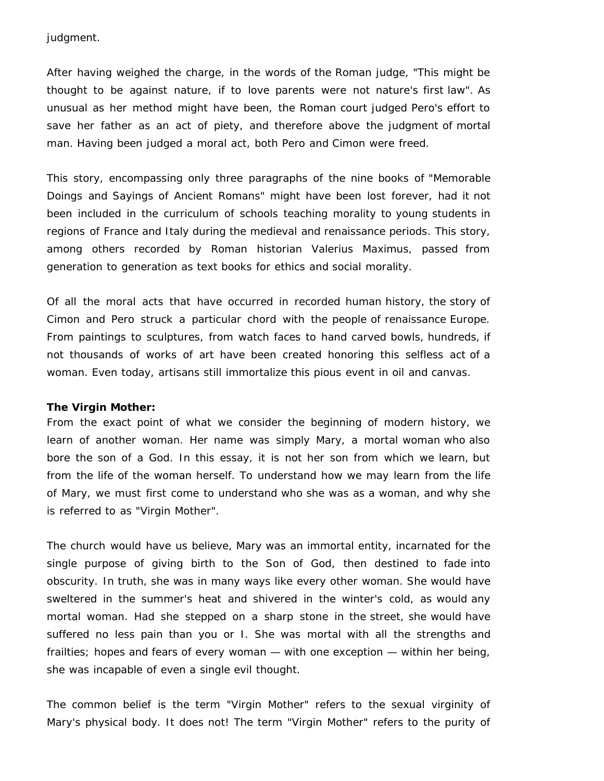judgment.

After having weighed the charge, in the words of the Roman judge, "This might be thought to be against nature, if to love parents were not nature's first law". As unusual as her method might have been, the Roman court judged Pero's effort to save her father as an act of piety, and therefore above the judgment of mortal man. Having been judged a moral act, both Pero and Cimon were freed.

This story, encompassing only three paragraphs of the nine books of "Memorable Doings and Sayings of Ancient Romans" might have been lost forever, had it not been included in the curriculum of schools teaching morality to young students in regions of France and Italy during the medieval and renaissance periods. This story, among others recorded by Roman historian Valerius Maximus, passed from generation to generation as text books for ethics and social morality.

Of all the moral acts that have occurred in recorded human history, the story of Cimon and Pero struck a particular chord with the people of renaissance Europe. From paintings to sculptures, from watch faces to hand carved bowls, hundreds, if not thousands of works of art have been created honoring this selfless act of a woman. Even today, artisans still immortalize this pious event in oil and canvas.

### **The Virgin Mother:**

From the exact point of what we consider the beginning of modern history, we learn of another woman. Her name was simply Mary, a mortal woman who also bore the son of a God. In this essay, it is not her son from which we learn, but from the life of the woman herself. To understand how we may learn from the life of Mary, we must first come to understand who she was as a woman, and why she is referred to as "Virgin Mother".

The church would have us believe, Mary was an immortal entity, incarnated for the single purpose of giving birth to the Son of God, then destined to fade into obscurity. In truth, she was in many ways like every other woman. She would have sweltered in the summer's heat and shivered in the winter's cold, as would any mortal woman. Had she stepped on a sharp stone in the street, she would have suffered no less pain than you or I. She was mortal with all the strengths and frailties; hopes and fears of every woman — with one exception — within her being, she was incapable of even a single evil thought.

The common belief is the term "Virgin Mother" refers to the sexual virginity of Mary's physical body. It does not! The term "Virgin Mother" refers to the purity of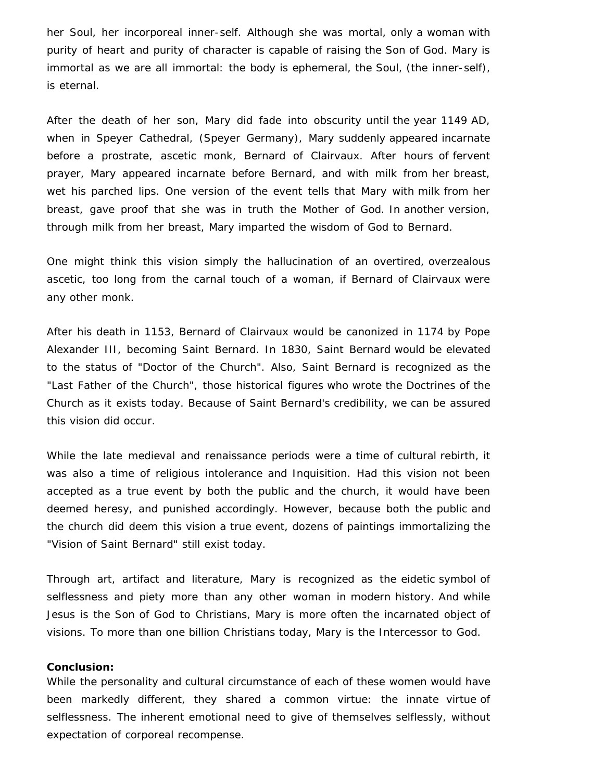her Soul, her incorporeal inner-self. Although she was mortal, only a woman with purity of heart and purity of character is capable of raising the Son of God. Mary is immortal as we are all immortal: the body is ephemeral, the Soul, (the inner-self), is eternal.

After the death of her son, Mary did fade into obscurity until the year 1149 AD, when in Speyer Cathedral, (Speyer Germany), Mary suddenly appeared incarnate before a prostrate, ascetic monk, Bernard of Clairvaux. After hours of fervent prayer, Mary appeared incarnate before Bernard, and with milk from her breast, wet his parched lips. One version of the event tells that Mary with milk from her breast, gave proof that she was in truth the Mother of God. In another version, through milk from her breast, Mary imparted the wisdom of God to Bernard.

One might think this vision simply the hallucination of an overtired, overzealous ascetic, too long from the carnal touch of a woman, if Bernard of Clairvaux were any other monk.

After his death in 1153, Bernard of Clairvaux would be canonized in 1174 by Pope Alexander III, becoming Saint Bernard. In 1830, Saint Bernard would be elevated to the status of "Doctor of the Church". Also, Saint Bernard is recognized as the "Last Father of the Church", those historical figures who wrote the Doctrines of the Church as it exists today. Because of Saint Bernard's credibility, we can be assured this vision did occur.

While the late medieval and renaissance periods were a time of cultural rebirth, it was also a time of religious intolerance and Inquisition. Had this vision not been accepted as a true event by both the public and the church, it would have been deemed heresy, and punished accordingly. However, because both the public and the church did deem this vision a true event, dozens of paintings immortalizing the "Vision of Saint Bernard" still exist today.

Through art, artifact and literature, Mary is recognized as the eidetic symbol of selflessness and piety more than any other woman in modern history. And while Jesus is the Son of God to Christians, Mary is more often the incarnated object of visions. To more than one billion Christians today, Mary is the Intercessor to God.

### **Conclusion:**

While the personality and cultural circumstance of each of these women would have been markedly different, they shared a common virtue: the innate virtue of selflessness. The inherent emotional need to give of themselves selflessly, without expectation of corporeal recompense.